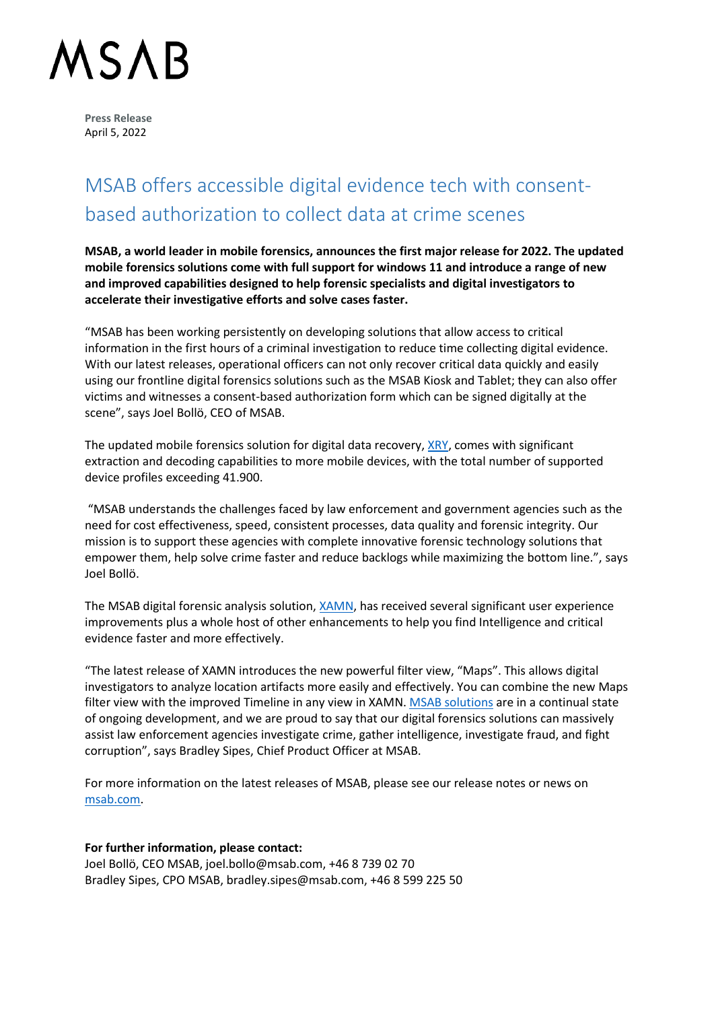## **ASAB**

**Press Release** April 5, 2022

### MSAB offers accessible digital evidence tech with consentbased authorization to collect data at crime scenes

**MSAB, a world leader in mobile forensics, announces the first major release for 2022. The updated mobile forensics solutions come with full support for windows 11 and introduce a range of new and improved capabilities designed to help forensic specialists and digital investigators to accelerate their investigative efforts and solve cases faster.**

"MSAB has been working persistently on developing solutions that allow access to critical information in the first hours of a criminal investigation to reduce time collecting digital evidence. With our latest releases, operational officers can not only recover critical data quickly and easily using our frontline digital forensics solutions such as the MSAB Kiosk and Tablet; they can also offer victims and witnesses a consent-based authorization form which can be signed digitally at the scene", says Joel Bollö, CEO of MSAB.

The updated mobile forensics solution for digital data recovery[, XRY,](https://www.msab.com/product/xry-extract/) comes with significant extraction and decoding capabilities to more mobile devices, with the total number of supported device profiles exceeding 41.900.

"MSAB understands the challenges faced by law enforcement and government agencies such as the need for cost effectiveness, speed, consistent processes, data quality and forensic integrity. Our mission is to support these agencies with complete innovative forensic technology solutions that empower them, help solve crime faster and reduce backlogs while maximizing the bottom line.", says Joel Bollö.

The MSAB digital forensic analysis solution, [XAMN,](https://www.msab.com/product/analyze/) has received several significant user experience improvements plus a whole host of other enhancements to help you find Intelligence and critical evidence faster and more effectively.

"The latest release of XAMN introduces the new powerful filter view, "Maps". This allows digital investigators to analyze location artifacts more easily and effectively. You can combine the new Maps filter view with the improved Timeline in any view in XAMN[. MSAB solutions](https://www.msab.com/products/) are in a continual state of ongoing development, and we are proud to say that our digital forensics solutions can massively assist law enforcement agencies investigate crime, gather intelligence, investigate fraud, and fight corruption", says Bradley Sipes, Chief Product Officer at MSAB.

For more information on the latest releases of MSAB, please see our release notes or news on [msab.com.](https://www.msab.com/)

#### **For further information, please contact:**

Joel Bollö, CEO MSAB, joel.bollo@msab.com, +46 8 739 02 70 Bradley Sipes, CPO MSAB, bradley.sipes@msab.com, +46 8 599 225 50